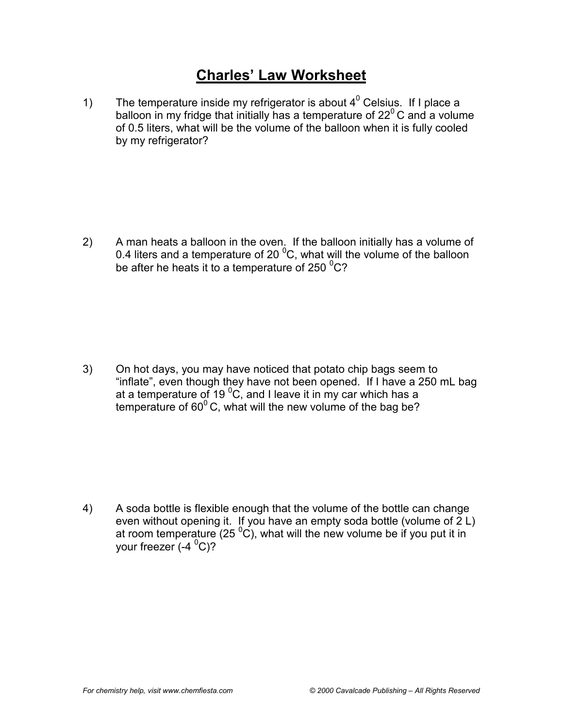## **Charles' Law Worksheet**

1) The temperature inside my refrigerator is about  $4^0$  Celsius. If I place a balloon in my fridge that initially has a temperature of  $22^{\circ}$ C and a volume of 0.5 liters, what will be the volume of the balloon when it is fully cooled by my refrigerator?

2) A man heats a balloon in the oven. If the balloon initially has a volume of 0.4 liters and a temperature of 20  $\mathrm{^0C}$ , what will the volume of the balloon be after he heats it to a temperature of 250  $^{0}$ C?

3) On hot days, you may have noticed that potato chip bags seem to "inflate", even though they have not been opened. If I have a 250 mL bag at a temperature of 19  $\mathrm{^0C}$ , and I leave it in my car which has a temperature of  $60^{\circ}$ C, what will the new volume of the bag be?

4) A soda bottle is flexible enough that the volume of the bottle can change even without opening it. If you have an empty soda bottle (volume of 2 L) at room temperature (25  $\rm ^{0}C)$ , what will the new volume be if you put it in your freezer (-4 <sup>0</sup>C)?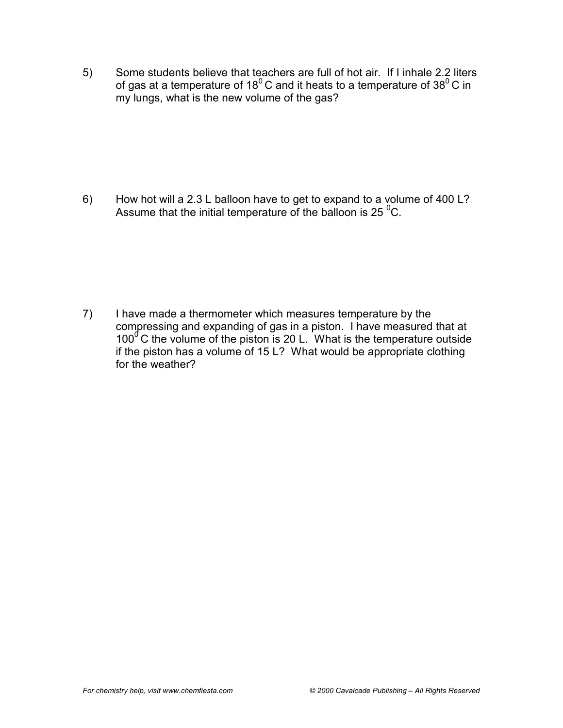5) Some students believe that teachers are full of hot air. If I inhale 2.2 liters of gas at a temperature of 18<sup>0</sup> C and it heats to a temperature of 38<sup>0</sup> C in my lungs, what is the new volume of the gas?

6) How hot will a 2.3 L balloon have to get to expand to a volume of 400 L? Assume that the initial temperature of the balloon is 25  $^{0}$ C.

7) I have made a thermometer which measures temperature by the compressing and expanding of gas in a piston. I have measured that at  $100^{\circ}$  C the volume of the piston is 20 L. What is the temperature outside if the piston has a volume of 15 L? What would be appropriate clothing for the weather?